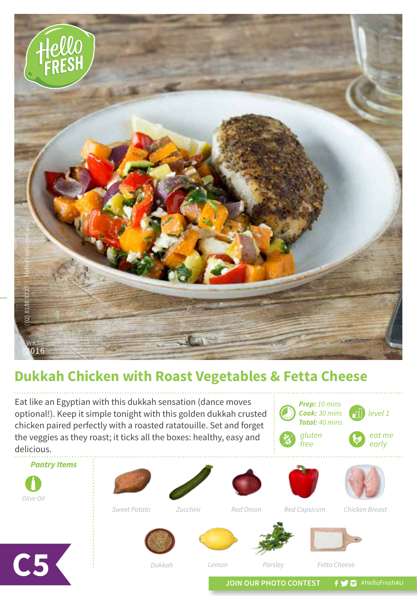

## **Dukkah Chicken with Roast Vegetables & Fetta Cheese**

Eat like an Egyptian with this dukkah sensation (dance moves optional!). Keep it simple tonight with this golden dukkah crusted chicken paired perfectly with a roasted ratatouille. Set and forget the veggies as they roast; it ticks all the boxes: healthy, easy and delicious.

*Prep: 10 mins Cook: 30 mins Total: 40 mins level 1 eat me early gluten free*



**C5**

*Olive Oil*

*Pantry Items*

*Dukkah Parsley Fetta Cheese*

*Lemon*

*Sweet Potato Red Onion Chicken Breast Zucchini Red Capsicum*

JOIN OUR PHOTO CONTEST **f y a** #HelloFreshAU